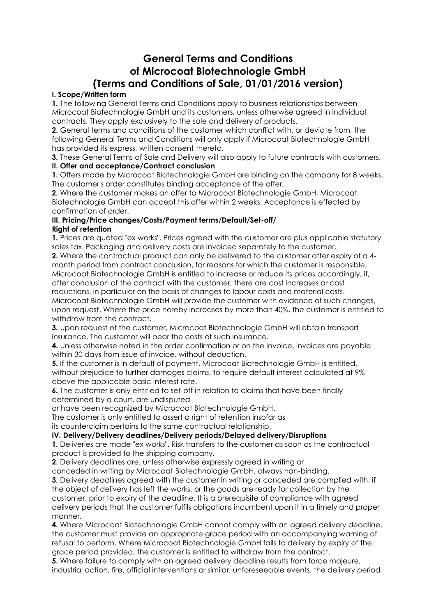# **General Terms and Conditions of Microcoat Biotechnologie GmbH (Terms and Conditions of Sale, 01/01/2016 version)**

# **I. Scope/Written form**

**1.** The following General Terms and Conditions apply to business relationships between Microcoat Biotechnologie GmbH and its customers, unless otherwise agreed in individual contracts. They apply exclusively to the sale and delivery of products.

**2.** General terms and conditions of the customer which conflict with, or deviate from, the following General Terms and Conditions will only apply if Microcoat Biotechnologie GmbH has provided its express, written consent thereto.

**3.** These General Terms of Sale and Delivery will also apply to future contracts with customers.

# **II. Offer and acceptance/Contract conclusion**

**1.** Offers made by Microcoat Biotechnologie GmbH are binding on the company for 8 weeks. The customer's order constitutes binding acceptance of the offer.

**2.** Where the customer makes an offer to Microcoat Biotechnologie GmbH, Microcoat Biotechnologie GmbH can accept this offer within 2 weeks. Acceptance is effected by confirmation of order.

#### **III. Pricing/Price changes/Costs/Payment terms/Default/Set-off/ Right of retention**

**1.** Prices are quoted "ex works". Prices agreed with the customer are plus applicable statutory sales tax. Packaging and delivery costs are invoiced separately to the customer.

**2.** Where the contractual product can only be delivered to the customer after expiry of a 4 month period from contract conclusion, for reasons for which the customer is responsible, Microcoat Biotechnologie GmbH is entitled to increase or reduce its prices accordingly, if, after conclusion of the contract with the customer, there are cost increases or cost reductions, in particular on the basis of changes to labour costs and material costs. Microcoat Biotechnologie GmbH will provide the customer with evidence of such changes, upon request. Where the price hereby increases by more than 40%, the customer is entitled to withdraw from the contract.

**3.** Upon request of the customer, Microcoat Biotechnologie GmbH will obtain transport insurance. The customer will bear the costs of such insurance.

**4.** Unless otherwise noted in the order confirmation or on the invoice, invoices are payable within 30 days from issue of invoice, without deduction.

**5.** If the customer is in default of payment, Microcoat Biotechnologie GmbH is entitled, without prejudice to further damages claims, to require default interest calculated at 9% above the applicable basic interest rate.

**6.** The customer is only entitled to set-off in relation to claims that have been finally determined by a court, are undisputed

or have been recognized by Microcoat Biotechnologie GmbH.

The customer is only entitled to assert a right of retention insofar as

its counterclaim pertains to the same contractual relationship.

# **IV. Delivery/Delivery deadlines/Delivery periods/Delayed delivery/Disruptions**

**1.** Deliveries are made "ex works". Risk transfers to the customer as soon as the contractual product is provided to the shipping company.

**2.** Delivery deadlines are, unless otherwise expressly agreed in writing or

conceded in writing by Microcoat Biotechnologie GmbH, always non-binding.

**3.** Delivery deadlines agreed with the customer in writing or conceded are complied with, if the object of delivery has left the works, or the goods are ready for collection by the customer, prior to expiry of the deadline. It is a prerequisite of compliance with agreed delivery periods that the customer fulfils obligations incumbent upon it in a timely and proper manner.

**4.** Where Microcoat Biotechnologie GmbH cannot comply with an agreed delivery deadline, the customer must provide an appropriate grace period with an accompanying warning of refusal to perform. Where Microcoat Biotechnologie GmbH fails to delivery by expiry of the grace period provided, the customer is entitled to withdraw from the contract.

**5.** Where failure to comply with an agreed delivery deadline results from force majeure, industrial action, fire, official interventions or similar, unforeseeable events, the delivery period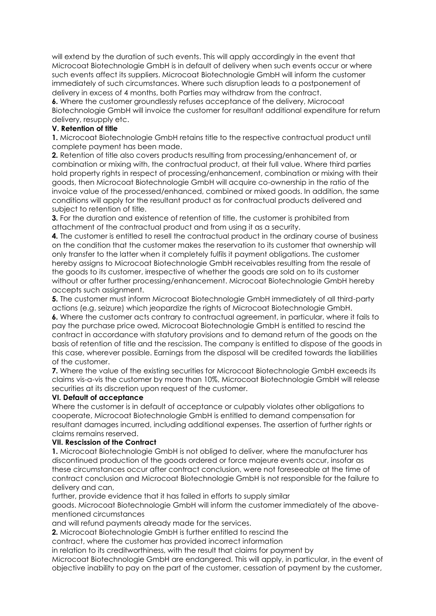will extend by the duration of such events. This will apply accordingly in the event that Microcoat Biotechnologie GmbH is in default of delivery when such events occur or where such events affect its suppliers. Microcoat Biotechnologie GmbH will inform the customer immediately of such circumstances. Where such disruption leads to a postponement of delivery in excess of 4 months, both Parties may withdraw from the contract.

**6.** Where the customer groundlessly refuses acceptance of the delivery, Microcoat Biotechnologie GmbH will invoice the customer for resultant additional expenditure for return delivery, resupply etc.

## **V. Retention of title**

**1.** Microcoat Biotechnologie GmbH retains title to the respective contractual product until complete payment has been made.

**2.** Retention of title also covers products resulting from processing/enhancement of, or combination or mixing with, the contractual product, at their full value. Where third parties hold property rights in respect of processing/enhancement, combination or mixing with their goods, then Microcoat Biotechnologie GmbH will acquire co-ownership in the ratio of the invoice value of the processed/enhanced, combined or mixed goods. In addition, the same conditions will apply for the resultant product as for contractual products delivered and subject to retention of title.

**3.** For the duration and existence of retention of title, the customer is prohibited from attachment of the contractual product and from using it as a security.

**4.** The customer is entitled to resell the contractual product in the ordinary course of business on the condition that the customer makes the reservation to its customer that ownership will only transfer to the latter when it completely fulfils it payment obligations. The customer hereby assigns to Microcoat Biotechnologie GmbH receivables resulting from the resale of the goods to its customer, irrespective of whether the goods are sold on to its customer without or after further processing/enhancement. Microcoat Biotechnologie GmbH hereby accepts such assignment.

**5.** The customer must inform Microcoat Biotechnologie GmbH immediately of all third-party actions (e.g. seizure) which jeopardize the rights of Microcoat Biotechnologie GmbH.

**6.** Where the customer acts contrary to contractual agreement, in particular, where it fails to pay the purchase price owed, Microcoat Biotechnologie GmbH is entitled to rescind the contract in accordance with statutory provisions and to demand return of the goods on the basis of retention of title and the rescission. The company is entitled to dispose of the goods in this case, wherever possible. Earnings from the disposal will be credited towards the liabilities of the customer.

**7.** Where the value of the existing securities for Microcoat Biotechnologie GmbH exceeds its claims vis-a-vis the customer by more than 10%, Microcoat Biotechnologie GmbH will release securities at its discretion upon request of the customer.

#### **VI. Default of acceptance**

Where the customer is in default of acceptance or culpably violates other obligations to cooperate, Microcoat Biotechnologie GmbH is entitled to demand compensation for resultant damages incurred, including additional expenses. The assertion of further rights or claims remains reserved.

#### **VII. Rescission of the Contract**

**1.** Microcoat Biotechnologie GmbH is not obliged to deliver, where the manufacturer has discontinued production of the goods ordered or force majeure events occur, insofar as these circumstances occur after contract conclusion, were not foreseeable at the time of contract conclusion and Microcoat Biotechnologie GmbH is not responsible for the failure to delivery and can,

further, provide evidence that it has failed in efforts to supply similar

goods. Microcoat Biotechnologie GmbH will inform the customer immediately of the abovementioned circumstances

and will refund payments already made for the services.

**2.** Microcoat Biotechnologie GmbH is further entitled to rescind the

contract, where the customer has provided incorrect information

in relation to its creditworthiness, with the result that claims for payment by Microcoat Biotechnologie GmbH are endangered. This will apply, in particular, in the event of objective inability to pay on the part of the customer, cessation of payment by the customer,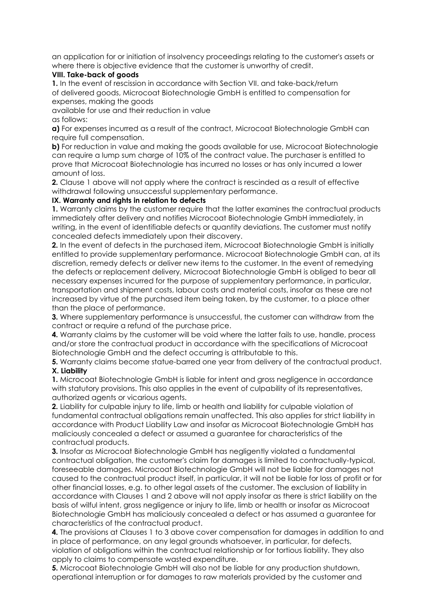an application for or initiation of insolvency proceedings relating to the customer's assets or where there is objective evidence that the customer is unworthy of credit.

#### **VIII. Take-back of goods**

**1.** In the event of rescission in accordance with Section VII. and take-back/return of delivered goods, Microcoat Biotechnologie GmbH is entitled to compensation for expenses, making the goods

available for use and their reduction in value

as follows:

**a)** For expenses incurred as a result of the contract, Microcoat Biotechnologie GmbH can require full compensation.

**b)** For reduction in value and making the goods available for use, Microcoat Biotechnologie can require a lump sum charge of 10% of the contract value. The purchaser is entitled to prove that Microcoat Biotechnologie has incurred no losses or has only incurred a lower amount of loss.

**2.** Clause 1 above will not apply where the contract is rescinded as a result of effective withdrawal following unsuccessful supplementary performance.

## **IX. Warranty and rights in relation to defects**

**1.** Warranty claims by the customer require that the latter examines the contractual products immediately after delivery and notifies Microcoat Biotechnologie GmbH immediately, in writing, in the event of identifiable defects or quantity deviations. The customer must notify concealed defects immediately upon their discovery.

**2.** In the event of defects in the purchased item, Microcoat Biotechnologie GmbH is initially entitled to provide supplementary performance. Microcoat Biotechnologie GmbH can, at its discretion, remedy defects or deliver new items to the customer. In the event of remedying the defects or replacement delivery, Microcoat Biotechnologie GmbH is obliged to bear all necessary expenses incurred for the purpose of supplementary performance, in particular, transportation and shipment costs, labour costs and material costs, insofar as these are not increased by virtue of the purchased item being taken, by the customer, to a place other than the place of performance.

**3.** Where supplementary performance is unsuccessful, the customer can withdraw from the contract or require a refund of the purchase price.

**4.** Warranty claims by the customer will be void where the latter fails to use, handle, process and/or store the contractual product in accordance with the specifications of Microcoat Biotechnologie GmbH and the defect occurring is attributable to this.

**5.** Warranty claims become statue-barred one year from delivery of the contractual product. **X. Liability**

**1.** Microcoat Biotechnologie GmbH is liable for intent and gross negligence in accordance with statutory provisions. This also applies in the event of culpability of its representatives, authorized agents or vicarious agents.

**2.** Liability for culpable injury to life, limb or health and liability for culpable violation of fundamental contractual obligations remain unaffected. This also applies for strict liability in accordance with Product Liability Law and insofar as Microcoat Biotechnologie GmbH has maliciously concealed a defect or assumed a guarantee for characteristics of the contractual products.

**3.** Insofar as Microcoat Biotechnologie GmbH has negligently violated a fundamental contractual obligation, the customer's claim for damages is limited to contractually-typical, foreseeable damages. Microcoat Biotechnologie GmbH will not be liable for damages not caused to the contractual product itself, in particular, it will not be liable for loss of profit or for other financial losses, e.g. to other legal assets of the customer. The exclusion of liability in accordance with Clauses 1 and 2 above will not apply insofar as there is strict liability on the basis of wilful intent, gross negligence or injury to life, limb or health or insofar as Microcoat Biotechnologie GmbH has maliciously concealed a defect or has assumed a guarantee for characteristics of the contractual product.

**4.** The provisions at Clauses 1 to 3 above cover compensation for damages in addition to and in place of performance, on any legal grounds whatsoever, in particular, for defects, violation of obligations within the contractual relationship or for tortious liability. They also apply to claims to compensate wasted expenditure.

**5.** Microcoat Biotechnologie GmbH will also not be liable for any production shutdown, operational interruption or for damages to raw materials provided by the customer and